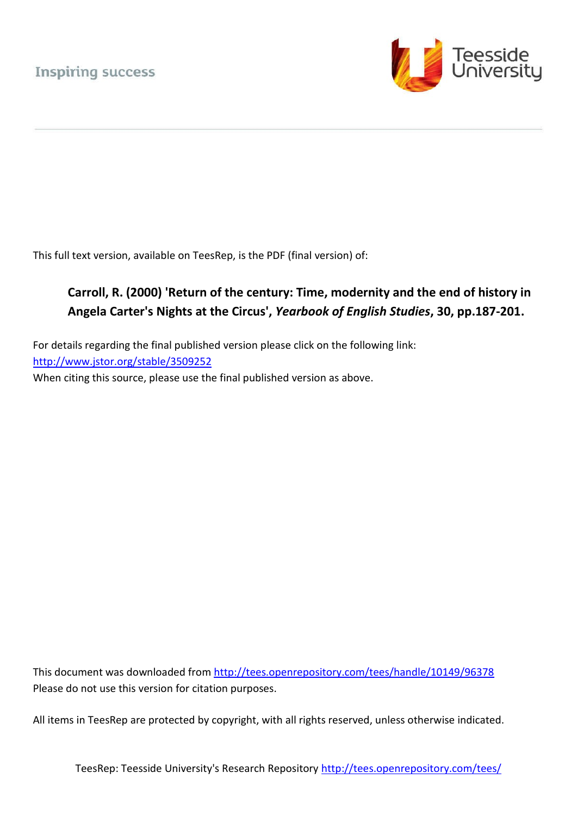

This full text version, available on TeesRep, is the PDF (final version) of:

# **Carroll, R. (2000) 'Return of the century: Time, modernity and the end of history in Angela Carter's Nights at the Circus',** *Yearbook of English Studies***, 30, pp.187-201.**

For details regarding the final published version please click on the following link: <http://www.jstor.org/stable/3509252> When citing this source, please use the final published version as above.

This document was downloaded from<http://tees.openrepository.com/tees/handle/10149/96378> Please do not use this version for citation purposes.

All items in TeesRep are protected by copyright, with all rights reserved, unless otherwise indicated.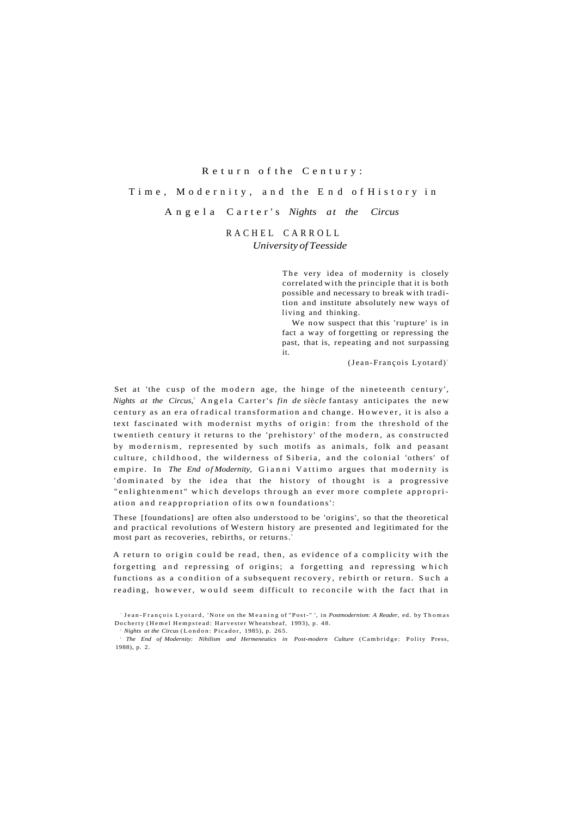## Time, Modernity, and the End of History in

### Angel a Carter' s *Nights at the Circus*

## RACHEL CARROLL *University of Teesside*

The very idea of modernity is closely correlated with the principle that it is both possible and necessary to break with tradition and institute absolutely new ways of living and thinking.

We now suspect that this 'rupture' is in fact a way of forgetting or repressing the past, that is, repeating and not surpassing it.

 $(Jean-Francois Lvotard)^T$ 

Set at 'the cusp of the modern age, the hinge of the nineteenth century', *Nights at the Circus,<sup>2</sup>* Angel a Carter's *fin de si*è*cle* fantasy anticipates the new century as an era of radical transformation and change. However, it is also a text fascinated with modernist myths of origin: from the threshold of the twentieth century it returns to the 'prehistory' of the modern, as constructed by modernism, represented by such motifs as animals, folk and peasant culture, childhood, the wilderness of Siberia, and the colonial 'others' of empire. In *The End of Modernity*, Gianni Vattimo argues that modernity is 'dominated by the idea that the history of thought is a progressive "enlightenment" which develops through an ever more complete appropriation and reappropriation of its own foundations':

These [foundations] are often also understood to be 'origins', so that the theoretical and practical revolutions of Western history are presented and legitimated for the most part as recoveries, rebirths, or returns.

A return to origin could be read, then, as evidence of a complicity with the forgetting and repressing of origins; a forgetting and repressing which functions as a condition of a subsequent recovery, rebirth or return. Such a reading, however, would seem difficult to reconcile with the fact that in

<sup>&#</sup>x27; Jean-François Lyotard, 'Note on the Meaning of "Post-" ', in Postmodernism: A Reader, ed. by Thomas Docherty (Hemel Hempstead: Harvester Wheatsheaf, 1993), p. 48.

*<sup>2</sup> Nights at the Circus* (London : Picador, 1985), p. 265.

*The End of Modernity: Nihilism and Hermeneutics in Post-modern Culture* (Cambridge : Polity Press, 1988), p. 2.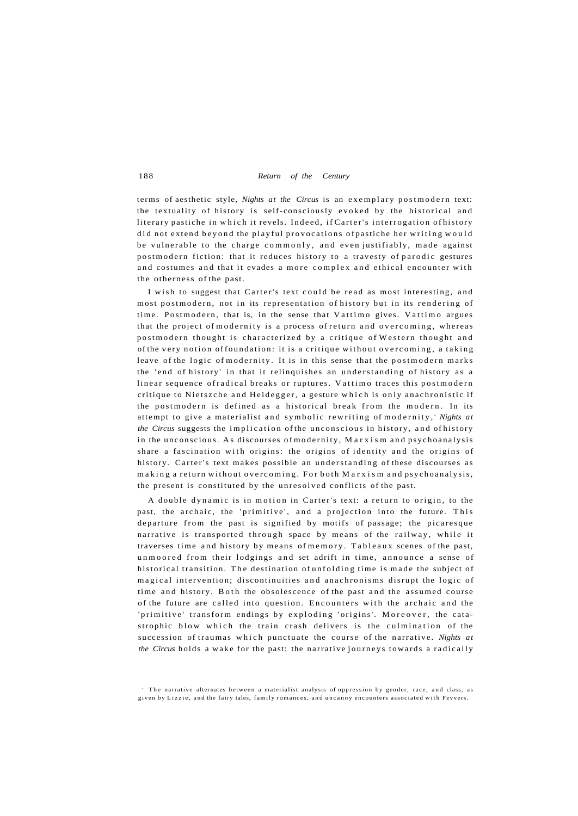terms of aesthetic style, *Nights at the Circus* is an exemplary postmodern text: the textuality of history is self-consciously evoked by the historical and literary pastiche in which it revels. Indeed, if Carter's interrogation of history did not extend beyond the playful provocations of pastiche her writing would be vulnerable to the charge commonly, and even justifiably, made against postmodern fiction: that it reduces history to a travesty of parodic gestures and costumes and that it evades a more complex and ethical encounter with the otherness of the past.

I wish to suggest that Carter's text could be read as most interesting, and most postmodern, not in its representation of history but in its rendering of time. Postmodern, that is, in the sense that Vattimo gives. Vattimo argues that the project of modernity is a process of return and overcoming, whereas postmodern thought is characterized by a critique of Western thought and of the very notion of foundation: it is a critique without overcoming, a taking leave of the logic of modernity. It is in this sense that the postmodern marks the 'end of history' in that it relinquishes an understanding of history as a linear sequence of radical breaks or ruptures. Vattimo traces this postmodern critique to Nietszche and Heidegger, a gesture which is only anachronistic if the postmodern is defined as a historical break from the modern. In its attempt to give a materialist and symbolic rewriting of modernity,<sup>4</sup> Nights at *the Circus* suggests the implication of the unconscious in history, and of history in the unconscious. As discourses of modernity, Marxism and psychoanalysis share a fascination with origins: the origins of identity and the origins of history. Carter's text makes possible an understanding of these discourses as making a return without overcoming. For both Marxism and psychoanalysis, the present is constituted by the unresolved conflicts of the past.

A double dynamic is in motion in Carter's text: a return to origin, to the past, the archaic, the 'primitive', and a projection into the future. This departure from the past is signified by motifs of passage; the picaresque narrative is transported through space by means of the railway, while it traverses time and history by means of memory. Tableaux scenes of the past, unmoored from their lodgings and set adrift in time, announce a sense of historical transition. The destination of unfolding time is made the subject of magical intervention; discontinuities and anachronisms disrupt the logic of time and history. Both the obsolescence of the past and the assumed course of the future are called into question. Encounters with the archaic and the 'primitive' transform endings by exploding 'origins'. Moreover, the catastrophic blow which the train crash delivers is the culmination of the succession of traumas which punctuate the course of the narrative. Nights at *the Circus* holds a wake for the past: the narrative journeys towards a radically

the narrative alternates between a materialist analysis of oppression by gender, race, and class, as given by Lizzie, and the fairy tales, family romances, and uncanny encounters associated with Fevvers.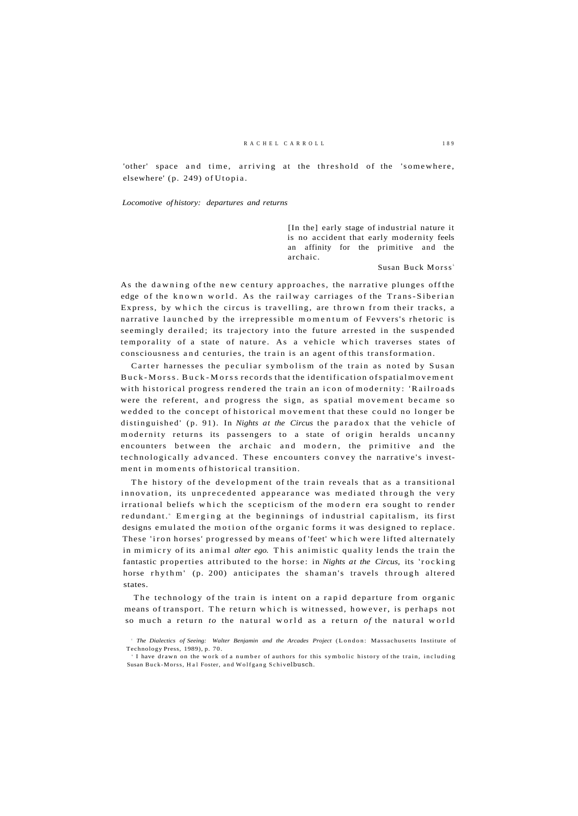'other' space and time, arriving at the threshold of the 'somewhere, elsewhere' (p. 249) of Utopia .

*Locomotive of history: departures and returns* 

[In the] early stage of industrial nature it is no accident that early modernity feels an affinity for the primitive and the archaic.

Susan Buck Morss'

As the dawning of the new century approaches, the narrative plunges of f the edge of the known world. As the railway carriages of the Trans-Siberian Express, by which the circus is travelling, are thrown from their tracks, a narrative launched by the irrepressible momentum of Fevvers's rhetoric is seemingly derailed; its trajectory into the future arrested in the suspended temporality of a state of nature. As a vehicle which traverses states of consciousness and centuries, the train is an agent of this transformation.

Carter harnesses the peculiar symbolism of the train as noted by Susan Buck-Morss. Buck-Morss records that the identification of spatial movement with historical progress rendered the train an icon of modernity: 'Railroads were the referent, and progress the sign, as spatial movement became so wedded to the concept of historical movement that these could no longer be distinguished' (p. 91). In *Nights at the Circus* the paradox that the vehicle of modernity returns its passengers to a state of origin heralds uncanny encounters between the archaic and modern, the primitive and the technologically advanced. These encounters convey the narrative's investment in moments of historical transition.

The history of the development of the train reveals that as a transitional innovation, its unprecedented appearance was mediated through the very irrational beliefs which the scepticism of the modern era sought to render redundant. Emerging at the beginnings of industrial capitalism, its first designs emulated the motion of the organic forms it was designed to replace. These 'iron horses' progressed by means of 'feet' which were lifted alternately in mimicry of its animal *alter ego*. This animistic quality lends the train the fantastic properties attributed to the horse: in Nights at the Circus, its 'rocking horse rhythm' (p. 200) anticipates the shaman's travels through altered states.

The technology of the train is intent on a rapid departure from organic means of transport. The return which is witnessed, however, is perhaps not so much a return to the natural world as a return of the natural world

<sup>&</sup>lt;sup>5</sup> The Dialectics of Seeing: Walter Benjamin and the Arcades Project (London: Massachusetts Institute of Technology Press, 1989), p. 70.

I have drawn on the work of a number of authors for this symbolic history of the train, including Susan Buck-Morss, Hal Foster, and Wolfgang Schivelbusch.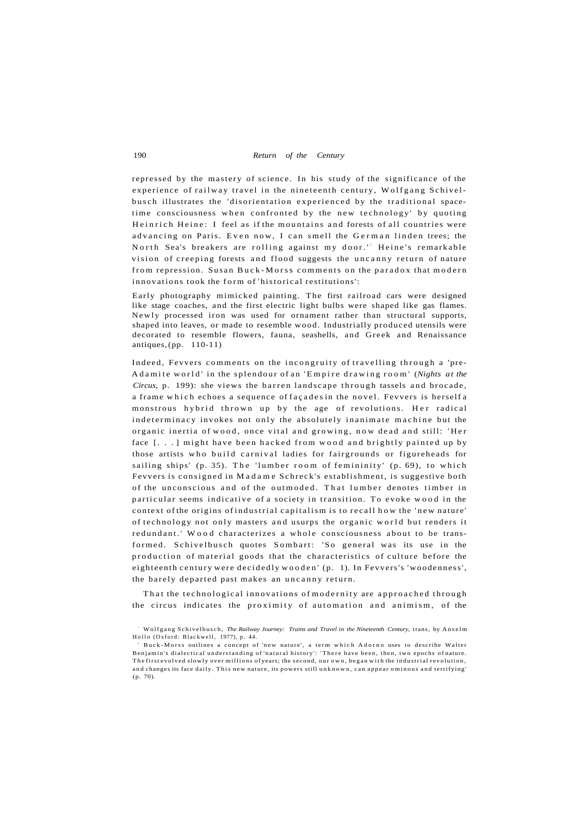repressed by the mastery of science. In his study of the significance of the experience of railway travel in the nineteenth century, Wolfgang Schivelbusch illustrates the 'disorientation experienced by the traditional spacetime consciousness when confronted by the new technology' by quoting Heinrich Heine: I feel as if the mountains and forests of all countries were advancing on Paris. Even now, I can smell the German linden trees; the North Sea's breakers are rolling against my door." Heine's remarkable vision of creeping forests and flood suggests the uncanny return of nature from repression. Susan Buck-Morss comments on the paradox that modern innovations took the form of 'historical restitutions':

Early photography mimicked painting. The first railroad cars were designed like stage coaches, and the first electric light bulbs were shaped like gas flames. Newly processed iron was used for ornament rather than structural supports, shaped into leaves, or made to resemble wood. Industrially produced utensils were decorated to resemble flowers, fauna, seashells, and Greek and Renaissance antiques, (pp. 110-11)

Indeed, Fevvers comments on the incongruity of travelling through a 'pre-Adamite world' in the splendour of an 'Empire drawing room' (Nights at the *Circus*, p. 199): she views the barren landscape through tassels and brocade, a frame which echoes a sequence of façades in the novel. Fevvers is herself a monstrous hybrid thrown up by the age of revolutions. Her radical indeterminacy invokes not only the absolutely inanimate machine but the organic inertia of wood, once vital and growing, now dead and still: 'Her face  $[ . . . ]$  might have been hacked from wood and brightly painted up by those artists who build carnival ladies for fairgrounds or figureheads for sailing ships'  $(p. 35)$ . The 'lumber room of femininity'  $(p. 69)$ , to which Fevvers is consigned in Madame Schreck's establishment, is suggestive both of the unconscious and of the outmoded. That lumber denotes timber in particular seems indicative of a society in transition. To evoke wood in the context of the origins of industrial capitalism is to recall how the 'new nature' of technology not only masters and usurps the organic world but renders it redundant. Wood characterizes a whole consciousness about to be transformed. Schivelbusch quotes Sombart: 'So general was its use in the production of material goods that the characteristics of culture before the eighteenth century were decidedly wooden' (p. 1). In Fevvers's 'woodenness', the barely departed past makes an uncanny return.

That the technological innovations of modernity are approached through the circus indicates the proximity of automation and animism, of the

<sup>&</sup>lt;sup>7</sup> Wolfgang Schivelbusch, *The Railway Journey: Trains and Travel in the Nineteenth Century*, trans, by Anselm Hollo (Oxford: Blackwell, 1977), p. 44.

Buck-Morss outlines a concept of 'new nature', a term which Adorno uses to describe Walter Benjamin's dialectical understanding of 'natural history': 'There have been, then, two epochs of nature. The first evolved slowly over millions of years; the second, our own, began with the industrial revolution, and changes its face daily. This new nature, its powers still unknown, can appear ominous and terrifying' (p. 70).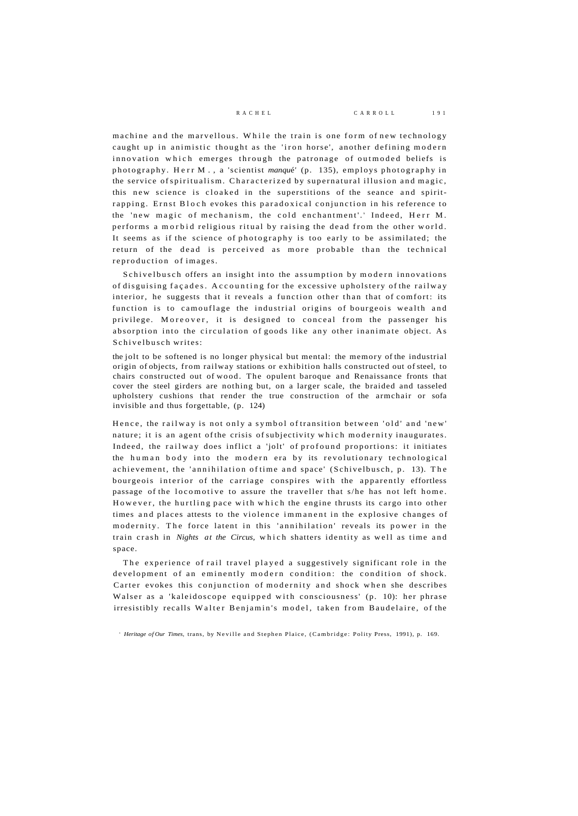machine and the marvellous. While the train is one form of new technology caught up in animistic thought as the 'iron horse', another defining modern innovation which emerges through the patronage of outmoded beliefs is photography. Herr M., a 'scientist manqué' (p. 135), employs photography in the service of spiritualism. Characterized by supernatural illusion and magic, this new science is cloaked in the superstitions of the seance and spiritrapping. Ernst Bloch evokes this paradoxical conjunction in his reference to the 'new magic of mechanism, the cold enchantment'.' Indeed, Herr M. performs a morbid religious ritual by raising the dead from the other world. It seems as if the science of photography is too early to be assimilated; the return of the dead is perceived as more probable than the technical reproduction of images.

Schivelbusch offers an insight into the assumption by modern innovations of disguising façades. Accounting for the excessive upholstery of the railway interior, he suggests that it reveals a function other than that of comfort: its function is to camouflage the industrial origins of bourgeois wealth and privilege. Moreover, it is designed to conceal from the passenger his absorption into the circulation of goods like any other inanimate object. As Schivelbusch writes:

the jolt to be softened is no longer physical but mental: the memory of the industrial origin of objects, from railway stations or exhibition halls constructed out of steel, to chairs constructed out of wood. The opulent baroque and Renaissance fronts that cover the steel girders are nothing but, on a larger scale, the braided and tasseled upholstery cushions that render the true construction of the armchair or sofa invisible and thus forgettable, (p. 124)

Hence, the railway is not only a symbol of transition between 'old' and 'new' nature; it is an agent of the crisis of subjectivity which modernity inaugurates. Indeed, the railway does inflict a 'jolt' of profound proportions: it initiates the human body into the modern era by its revolutionary technological achievement, the 'annihilation of time and space' (Schivelbusch, p. 13). The bourgeois interior of the carriage conspires with the apparently effortless passage of the locomotive to assure the traveller that s/he has not left home. However, the hurtling pace with which the engine thrusts its cargo into other times and places attests to the violence immanent in the explosive changes of modernity. The force latent in this 'annihilation' reveals its power in the train crash in *Nights at the Circus*, which shatters identity as well as time and space.

The experience of rail travel played a suggestively significant role in the development of an eminently modern condition: the condition of shock. Carter evokes this conjunction of modernity and shock when she describes Walser as a 'kaleidoscope equipped with consciousness' (p. 10): her phrase irresistibly recalls Walter Benjamin's model, taken from Baudelaire, of the

*<sup>&</sup>lt;sup>9</sup>* Heritage of Our Times, trans, by Neville and Stephen Plaice, (Cambridge: Polity Press, 1991), p. 169.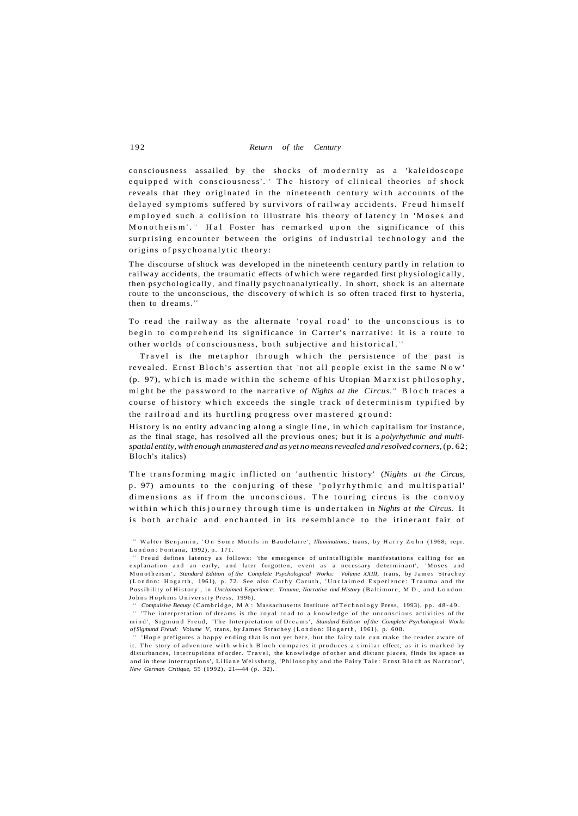consciousness assailed by the shocks of modernity as a 'kaleidoscope equipped with consciousness'.' The history of clinical theories of shock reveals that they originated in the nineteenth century with accounts of the delayed symptoms suffered by survivors of railway accidents. Freud himself employed such a collision to illustrate his theory of latency in 'Moses and Monotheism'." Hal Foster has remarked upon the significance of this surprising encounter between the origins of industrial technology and the origins of psychoanalytic theory:

The discourse of shock was developed in the nineteenth century partly in relation to railway accidents, the traumatic effects of which were regarded first physiologically, then psychologically, and finally psychoanalytically. In short, shock is an alternate route to the unconscious, the discovery of which is so often traced first to hysteria, then to dreams. $<sup>1</sup>$ </sup>

To read the railway as the alternate 'royal road' to the unconscious is to begin to comprehend its significance in Carter's narrative: it is a route to other worlds of consciousness, both subjective and historical."

Travel is the metaphor through which the persistence of the past is revealed. Ernst Bloch's assertion that 'not all people exist in the same Now' (p. 97), which is made within the scheme of his Utopian Marxist philosophy, might be the password to the narrative of Nights at the Circus." Bloch traces a course of history which exceeds the single track of determinism typified by the railroad and its hurtling progress over mastered ground:

History is no entity advancing along a single line, in which capitalism for instance, as the final stage, has resolved all the previous ones; but it is a *polyrhythmic and multispatial entity, with enough unmastered and as yet no means revealed and resolved corners,* (p. 62; Bloch's italics)

The transforming magic inflicted on 'authentic history' (Nights at the Circus, p. 97) amounts to the conjuring of these 'polyrhythmic and multispatial' dimensions as if from the unconscious. The touring circus is the convoy within which this journey through time is undertaken in Nights at the Circus. It is both archaic and enchanted in its resemblance to the itinerant fair of

<sup>&</sup>lt;sup>10</sup> Walter Benjamin, 'On Some Motifs in Baudelaire', *Illuminations*, trans, by Harry Zohn (1968; repr. London: Fontana, 1992), p. 171.

Freud defines latency as follows: 'the emergence of unintelligible manifestations calling for an explanation and an early, and later forgotten, event as a necessary determinant', 'Moses and Monotheism', *Standard Edition of the Complete Psychological Works: Volume XXIII*, trans, by James Strachey (London: Hogarth, 1961), p. 72. See also Cathy Caruth, 'Unclaimed Experience: Trauma and the Possibility of History', in *Unclaimed Experience: Trauma, Narrative and History* (Baltimore, MD, and London: Johns Hopkins University Press, 1996).

*<sup>1</sup> 2 Compulsive Beauty* (Cambridge, MA: Massachusetts Institute of Technology Press, 1993), pp. 48-49. <sup>13</sup> 'The interpretation of dreams is the royal road to a knowledge of the unconscious activities of the mind', Sigmund Freud, 'The Interpretation of Dreams', Standard Edition of the Complete Psychological Works *of Sigmund Freud: Volume V, trans, by James Strachey (London: Hogarth, 1961), p. 608.* 

<sup>&#</sup>x27;Hope prefigures a happy ending that is not yet here, but the fairy tale can make the reader aware of it. The story of adventure with which Bloch compares it produces a similar effect, as it is marked by disturbances, interruptions of order. Travel, the knowledge of other and distant places, finds its space as and in these interruptions', Liliane Weissberg, 'Philosophy and the Fairy Tale: Ernst Bloch as Narrator', *New German Critique,* 55 (1992), 21—44 (p. 32).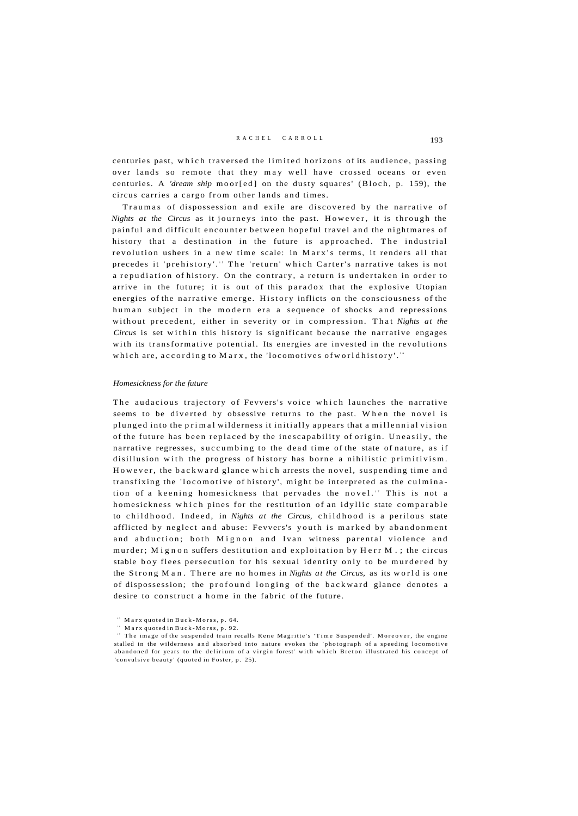centuries past, which traversed the limited horizons of its audience, passing over lands so remote that they may well have crossed oceans or even centuries. A 'dream ship moor[ed] on the dusty squares' (Bloch, p. 159), the circus carries a cargo from other lands and times.

Traumas of dispossession and exile are discovered by the narrative of *Nights at the Circus* as it journeys into the past. However, it is through the painful and difficult encounter between hopeful travel and the nightmares of history that a destination in the future is approached. The industrial revolution ushers in a new time scale: in Marx's terms, it renders all that precedes it 'prehistory'.<sup>15</sup> The 'return' which Carter's narrative takes is not a repudiation of history. On the contrary, a return is undertaken in order to arrive in the future; it is out of this paradox that the explosive Utopian energies of the narrative emerge. History inflicts on the consciousness of the human subject in the modern era a sequence of shocks and repressions without precedent, either in severity or in compression. That Nights at the *Circus* is set within this history is significant because the narrative engages with its transformative potential. Its energies are invested in the revolutions which are, according to Marx, the 'locomotives of world history'.<sup>16</sup>

#### *Homesickness for the future*

The audacious trajectory of Fevvers's voice which launches the narrative seems to be diverted by obsessive returns to the past. When the novel is plunged into the primal wilderness it initially appears that a millennial vision of the future has been replaced by the inescapability of origin. Uneasily, the narrative regresses, succumbing to the dead time of the state of nature, as if disillusion with the progress of history has borne a nihilistic primitivism. However, the backward glance which arrests the novel, suspending time and transfixing the 'locomotive of history', might be interpreted as the culmination of a keening homesickness that pervades the novel." This is not a homesickness which pines for the restitution of an idyllic state comparable to childhood. Indeed, in Nights at the Circus, childhood is a perilous state afflicted by neglect and abuse: Fevvers's youth is marked by abandonment and abduction; both Mignon and Ivan witness parental violence and murder; Mignon suffers destitution and exploitation by Herr M.; the circus stable boy flees persecution for his sexual identity only to be murdered by the Strong Man. There are no homes in *Nights at the Circus*, as its world is one of dispossession; the profound longing of the backward glance denotes a desire to construct a home in the fabric of the future.

<sup>&</sup>lt;sup>15</sup> Marx quoted in Buck-Morss, p. 64.

<sup>&</sup>lt;sup>16</sup> Marx quoted in Buck-Morss, p. 92.

<sup>&</sup>lt;sup>17</sup> The image of the suspended train recalls Rene Magritte's 'Time Suspended'. Moreover, the engine stalled in the wilderness and absorbed into nature evokes the 'photograph of a speeding locomotive abandoned for years to the delirium of a virgin forest' with which Breton illustrated his concept of 'convulsive beauty' (quoted in Foster, p. 25).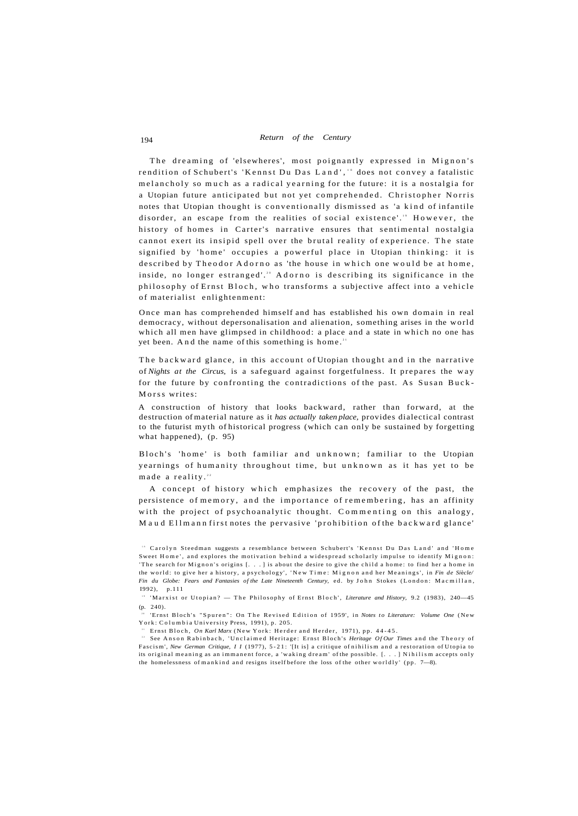The dreaming of 'elsewheres', most poignantly expressed in Mignon's rendition of Schubert's 'Kennst Du Das Land', i does not convey a fatalistic melancholy so much as a radical yearning for the future: it is a nostalgia for a Utopian future anticipated but not yet comprehended. Christopher Norris notes that Utopian thought is conventionally dismissed as 'a kind of infantile disorder, an escape from the realities of social existence'." However, the history of homes in Carter's narrative ensures that sentimental nostalgia cannot exert its insipid spell over the brutal reality of experience. The state signified by 'home' occupies a powerful place in Utopian thinking: it is described by Theodor Adorno as 'the house in which one would be at home, inside, no longer estranged'.<sup>20</sup> Adorno is describing its significance in the philosophy of Ernst Bloch, who transforms a subjective affect into a vehicle of materialist enlightenment:

Once man has comprehended himself and has established his own domain in real democracy, without depersonalisation and alienation, something arises in the world which all men have glimpsed in childhood: a place and a state in which no one has yet been. And the name of this something is home.<sup>2</sup>

The backward glance, in this account of Utopian thought and in the narrative of Nights at the Circus, is a safeguard against forgetfulness. It prepares the way for the future by confronting the contradictions of the past. As Susan Buck-Morss writes:

A construction of history that looks backward, rather than forward, at the destruction of material nature as it *has actually taken place,* provides dialectical contrast to the futurist myth of historical progress (which can only be sustained by forgetting what happened), (p. 95)

Bloch's 'home' is both familiar and unknown; familiar to the Utopian yearnings of humanity throughout time, but unknown as it has yet to be made a reality. $22$ 

A concept of history which emphasizes the recovery of the past, the persistence of memory, and the importance of remembering, has an affinity with the project of psychoanalytic thought. Commenting on this analogy, Maud Ellmann first notes the pervasive 'prohibition of the backward glance'

<sup>&</sup>lt;sup>18</sup> Carolyn Steedman suggests a resemblance between Schubert's 'Kennst Du Das Land' and 'Home Sweet Home', and explores the motivation behind a widespread scholarly impulse to identify Mignon: 'The search for Mignon's origins [. . . ] is about the desire to give the child a home: to find her a home in the world: to give her a history, a psychology', 'New Time: Mignon and her Meanings', in Fin de Siècle/ *Fin du Globe: Fears and Fantasies of the Late Nineteenth Century*, ed. by John Stokes (London: Macmillan, I992), p.111

<sup>&</sup>lt;sup>19</sup> 'Marxist or Utopian? - The Philosophy of Ernst Bloch', *Literature and History*, 9.2 (1983), 240-45 (p. 240).

<sup>&#</sup>x27;Ernst Bloch's "Spuren": On The Revised Edition of 1959', in Notes to Literature: Volume One (New York: Columbia University Press, 1991), p. 205.

Ernst Bloch, On Karl Marx (New York: Herder and Herder, 1971), pp. 44-45.

<sup>&</sup>lt;sup>22</sup> See Anson Rabinbach, 'Unclaimed Heritage: Ernst Bloch's *Heritage Of Our Times* and the Theory of Fascism', New German Critique, I I (1977), 5-21: '[It is] a critique of nihilism and a restoration of Utopia to its original meaning as an immanent force, a 'waking dream' of the possible. [...] Nihilism accepts only the homelessness of mankind and resigns itself before the loss of the other worldly' (pp.  $7-8$ ).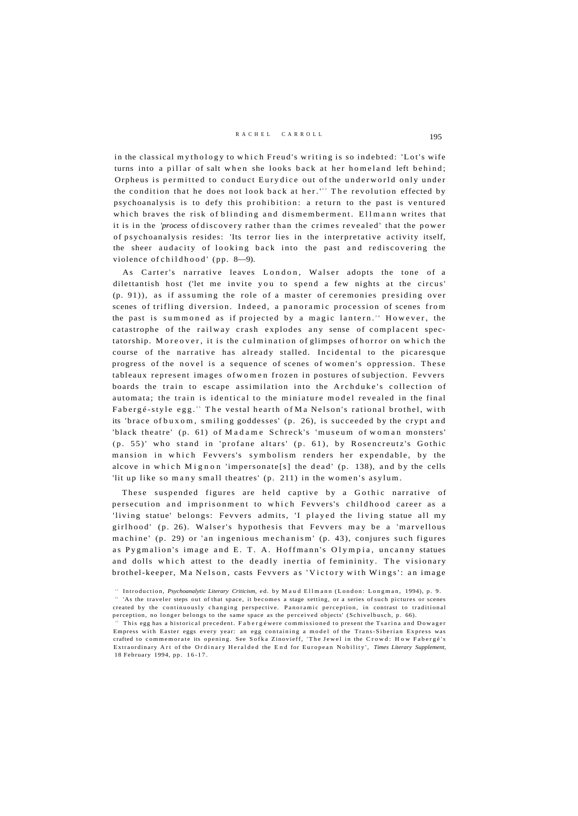in the classical mythology to which Freud's writing is so indebted: 'Lot's wife turns into a pillar of salt when she looks back at her homeland left behind; Orpheus is permitted to conduct Eurydice out of the underworld only under the condition that he does not look back at her.<sup>123</sup> The revolution effected by psychoanalysis is to defy this prohibition: a return to the past is ventured which braves the risk of blinding and dismemberment. Ellmann writes that it is in the 'process of discovery rather than the crimes revealed' that the power of psychoanalysis resides: 'Its terror lies in the interpretative activity itself, the sheer audacity of looking back into the past and rediscovering the violence of childhood' (pp. 8-9).

As Carter's narrative leaves London, Walser adopts the tone of a dilettantish host ('let me invite you to spend a few nights at the circus'  $(p. 91)$ , as if assuming the role of a master of ceremonies presiding over scenes of trifling diversion. Indeed, a panoramic procession of scenes from the past is summoned as if projected by a magic lantern.<sup>24</sup> However, the catastrophe of the railway crash explodes any sense of complacent spectatorship. Moreover, it is the culmination of glimpses of horror on which the course of the narrative has already stalled. Incidental to the picaresque progress of the novel is a sequence of scenes of women's oppression. These tableaux represent images of women frozen in postures of subjection. Fevvers boards the train to escape assimilation into the Archduke's collection of automata; the train is identical to the miniature model revealed in the final Fabergé-style egg." The vestal hearth of Ma Nelson's rational brothel, with its 'brace of buxom, smiling goddesses' (p. 26), is succeeded by the crypt and 'black theatre' (p. 61) of Madame Schreck's 'museum of woman monsters' ( p. 55)' who stand in 'profane altars' (p. 61), by Rosencreutz's Gothic mansion in which Fevvers's symbolism renders her expendable, by the alcove in which Mignon 'impersonate[s] the dead' (p. 138), and by the cells 'lit up like so many small theatres'  $(p. 211)$  in the women's asylum.

These suspended figures are held captive by a Gothic narrative of persecution and imprisonment to which Fevvers's childhood career as a 'living statue' belongs: Fevvers admits, 'I played the living statue all my girlhood' (p. 26). Walser's hypothesis that Fevvers may be a 'marvellous machine' (p. 29) or 'an ingenious mechanism' (p. 43), conjures such figures as Pygmalion's image and E. T. A. Hoffmann's Olympia, uncanny statues and dolls which attest to the deadly inertia of femininity. The visionary brothel-keeper, Ma Nelson, casts Fevvers as 'Victory with Wings': an image

<sup>&</sup>lt;sup>23</sup> Introduction, *Psychoanalytic Literary Criticism*, ed. by Maud Ellmann (London: Longman, 1994), p. 9. <sup>24</sup> 'As the traveler steps out of that space, it becomes a stage setting, or a series of such pictures or scenes created by the continuously changing perspective. Panoramic perception, in contrast to traditional perception, no longer belongs to the same space as the perceived objects' (Schivelbusch, p. 66).

This egg has a historical precedent. Fabergéwere commissioned to present the Tsarina and Dowager Empress with Easter eggs every year: an egg containing a model of the Trans-Siberian Express was crafted to commemorate its opening. See Sofka Zinovieff, 'The Jewel in the Crowd: How Fabergé's Extraordinary Art of the Ordinary Heralded the End for European Nobility', Times Literary Supplement, 18 February 1994, pp. 16-17.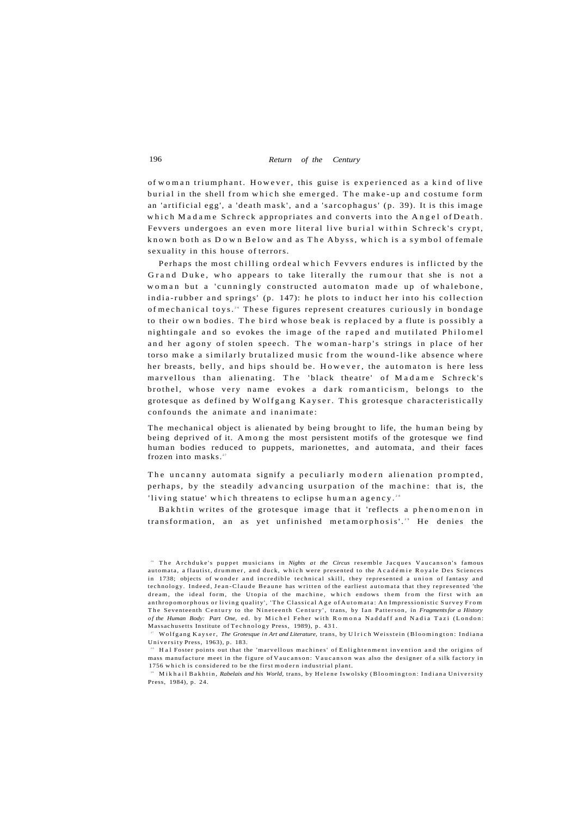of woman triumphant. However, this guise is experienced as a kind of live burial in the shell from which she emerged. The make-up and costume form an 'artificial egg', a 'death mask', and a 'sarcophagus' (p. 39). It is this image which Madame Schreck appropriates and converts into the Angel of Death. Fevvers undergoes an even more literal live burial within Schreck's crypt, known both as Down Below and as The Abyss, which is a symbol of female sexuality in this house of terrors.

Perhaps the most chilling ordeal which Fevvers endures is inflicted by the Grand Duke, who appears to take literally the rumour that she is not a woman but a 'cunningly constructed automaton made up of whalebone, india-rubber and springs' (p.  $147$ ): he plots to induct her into his collection of mechanical toys.<sup>26</sup> These figures represent creatures curiously in bondage to their own bodies. The bird whose beak is replaced by a flute is possibly a nightingale and so evokes the image of the raped and mutilated Philomel and her agony of stolen speech. The woman-harp's strings in place of her torso make a similarly brutalized music from the wound-like absence where her breasts, belly, and hips should be. However, the automaton is here less marvellous than alienating. The 'black theatre' of Madame Schreck's brothel, whose very name evokes a dark romanticism, belongs to the grotesque as defined by Wolfgang Kayser. This grotesque characteristically confounds the animate and inanimate:

The mechanical object is alienated by being brought to life, the human being by being deprived of it. Among the most persistent motifs of the grotesque we find human bodies reduced to puppets, marionettes, and automata, and their faces frozen into masks.<sup>2</sup>

The uncanny automata signify a peculiarly modern alienation prompted, perhaps, by the steadily advancing usurpation of the machine: that is, the 'living statue' which threatens to eclipse human agency. $2^*$ 

Bakhtin writes of the grotesque image that it 'reflects a phenomenon in transformation, an as yet unfinished metamorphosis'.<sup>29</sup> He denies the

<sup>&</sup>lt;sup>26</sup> The Archduke's puppet musicians in Nights at the Circus resemble Jacques Vaucanson's famous automata, a flautist, drummer, and duck, which were presented to the Académie Royale Des Sciences in 1738; objects of wonder and incredible technical skill, they represented a union of fantasy and technology. Indeed, Jean-Claude Beaune has written of the earliest automata that they represented 'the dream, the ideal form, the Utopia of the machine, which endows them from the first with an anthropomorphous or living quality', 'The Classical Age of Automata: An Impressionistic Survey From The Seventeenth Century to the Nineteenth Century', trans, by Ian Patterson, in Fragments for a History of the Human Body: Part One, ed. by Michel Feher with Romona Naddaff and Nadia Tazi (London: Massachusetts Institute of Technology Press, 1989), p. 431.

<sup>2</sup> 7 Wolfgang Kayser, *The Grotesque in Art and Literature*, trans, by Ulrich Weisstein (Bloomington: Indiana University Press, 1963), p. 183.

<sup>2</sup> 8 Hal Foster points out that the 'marvellous machines' of Enlightenment invention and the origins of mass manufacture meet in the figure of Vaucanson: Vaucanson was also the designer of a silk factory in 1756 which is considered to be the first modern industrial plant.

<sup>&</sup>lt;sup>29</sup> Mikhail Bakhtin, *Rabelais and his World*, trans, by Helene Iswolsky (Bloomington: Indiana University Press, 1984), p. 24.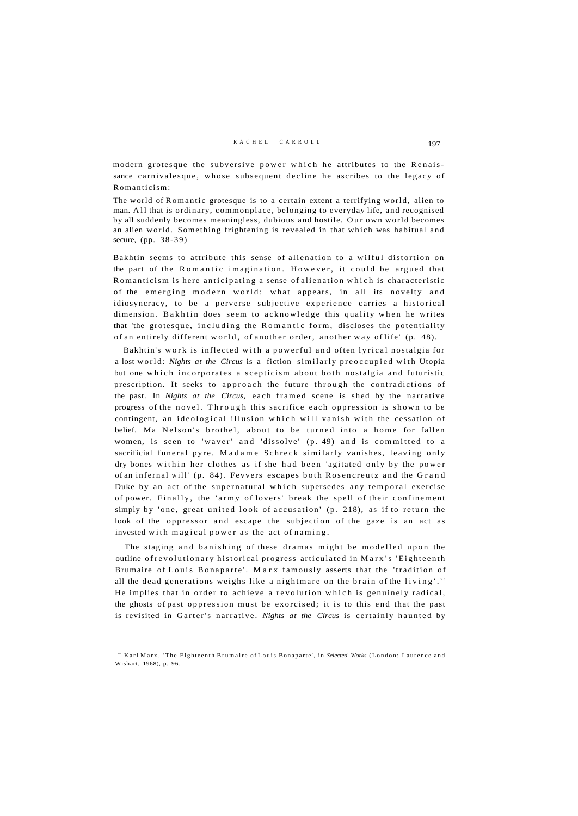modern grotesque the subversive power which he attributes to the Renaissance carnivalesque, whose subsequent decline he ascribes to the legacy of Romanticism:

The world of Romantic grotesque is to a certain extent a terrifying world, alien to man. All that is ordinary, commonplace, belonging to everyday life, and recognised by all suddenly becomes meaningless, dubious and hostile. Ou r own world becomes an alien world. Something frightening is revealed in that which was habitual and secure, (pp. 38-39)

Bakhtin seems to attribute this sense of alienation to a wilful distortion on the part of the Romantic imagination. However, it could be argued that Romanticism is here anticipating a sense of alienation which is characteristic of the emerging modern world; what appears, in all its novelty and idiosyncracy, to be a perverse subjective experience carries a historical dimension. Bakhtin does seem to acknowledge this quality when he writes that 'the grotesque, including the Romantic form, discloses the potentiality of an entirely different world, of another order, another way of life' (p. 48).

Bakhtin's work is inflected with a powerful and often lyrical nostalgia for a lost world: *Nights at the Circus* is a fiction similarly preoccupied with Utopia but one which incorporates a scepticism about both nostalgia and futuristic prescription. It seeks to approach the future through the contradictions of the past. In Nights at the Circus, each framed scene is shed by the narrative progress of the novel. Through this sacrifice each oppression is shown to be contingent, an ideological illusion which will vanish with the cessation of belief. Ma Nelson's brothel, about to be turned into a home for fallen women, is seen to 'waver' and 'dissolve' (p. 49) and is committed to a sacrificial funeral pyre. Madame Schreck similarly vanishes, leaving only dry bones within her clothes as if she had been 'agitated only by the power of an infernal will' (p. 84). Fevvers escapes both Rosencreutz and the Grand Duke by an act of the supernatural which supersedes any temporal exercise of power. Finally, the 'army of lovers' break the spell of their confinement simply by 'one, great united look of accusation' (p. 218), as if to return the look of the oppressor and escape the subjection of the gaze is an act as invested with magical power as the act of naming.

The staging and banishing of these dramas might be modelled upon the outline of revolutionary historical progress articulated in Marx's 'Eighteenth Brumaire of Louis Bonaparte'. Marx famously asserts that the 'tradition of all the dead generations weighs like a nightmare on the brain of the living'." He implies that in order to achieve a revolution which is genuinely radical, the ghosts of past oppression must be exorcised; it is to this end that the past is revisited in Garter's narrative. *Nights at the Circus* is certainly haunted by

<sup>&</sup>lt;sup>30</sup> Karl Marx, 'The Eighteenth Brumaire of Louis Bonaparte', in Selected Works (London: Laurence and Wishart, 1968), p. 96.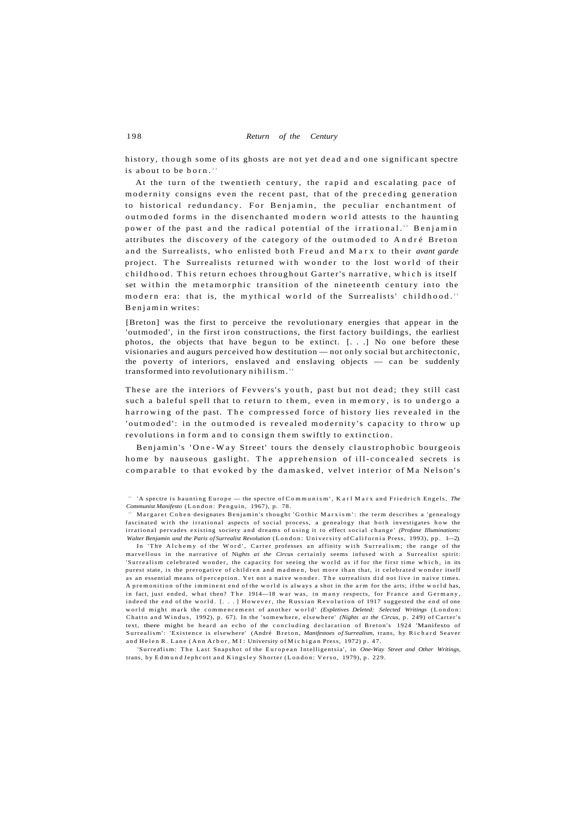history, though some of its ghosts are not yet dead and one significant spectre is about to be born.<sup>31</sup>

At the turn of the twentieth century, the rapid and escalating pace of modernity consigns even the recent past, that of the preceding generation to historical redundancy. For Benjamin, the peculiar enchantment of outmoded forms in the disenchanted modern world attests to the haunting power of the past and the radical potential of the irrational.<sup>32</sup> Benjamin attributes the discovery of the category of the outmoded to André Breton and the Surrealists, who enlisted both Freud and Marx to their *avant garde* project. The Surrealists returned with wonder to the lost world of their childhood. This return echoes throughout Garter's narrative, which is itself set within the metamorphic transition of the nineteenth century into the modern era: that is, the mythical world of the Surrealists' childhood.<sup>33</sup> Benjamin writes:

[Breton] was the first to perceive the revolutionary energies that appear in the 'outmoded', in the first iron constructions, the first factory buildings, the earliest photos, the objects that have begun to be extinct. [. . .] No one before these visionaries and augurs perceived how destitution — not only social but architectonic, the poverty of interiors, enslaved and enslaving objects — can be suddenly transformed into revolutionary nihilism.<sup>34</sup>

These are the interiors of Fevvers's youth, past but not dead; they still cast such a baleful spell that to return to them, even in memory, is to undergo a harrowing of the past. The compressed force of history lies revealed in the 'outmoded': in the outmoded is revealed modernity's capacity to throw up revolutions in form and to consign them swiftly to extinction.

Benjamin's 'One-Way Street' tours the densely claustrophobic bourgeois home by nauseous gaslight. The apprehension of ill-concealed secrets is comparable to that evoked by the damasked, velvet interior of Ma Nelson's

In 'The Alchemy of the Word', Carter professes an affinity with Surrealism; the range of the marvellous in the narrative of Ni*ghts at the Circus* certainly seems infused wit h a Surrealist spirit: 'Surrealism celebrated wonder, the capacity for seeing the world as if for the first time which, in its purest state, is the prerogative of children and madmen, but more than that, it celebrated wonder itself as an essential means of perception. Yet not a naive wonder. The surrealists did not live in naive times. A premonition of the imminent end of the world is always a shot in the arm for the arts; if the world has, in fact, just ended, what then? The 1914—18 war was, in many respects, for France and Germany, indeed the end of the world. [...] However, the Russian Revolution of 1917 suggested the end of one world might mark the commencement of another world' (Expletives Deleted: Selected Writings (London: Chatto and Windus, 1992), p. 67). In the 'somewhere, elsewhere' (Nights at the Circus, p. 249) of Carter's text, there might be heard an echo of the concluding declaration of Breton's 1924 'Manifesto of Surrealism': 'Existence is elsewhere' (André Breton, *Manifestoes of Surrealism*, trans, by Richard Seaver and Helen R. Lane (Ann Arbor, MI: University of Michigan Press, 1972) p. 47.

'Surrealism: The Last Snapshot of the European Intelligentsia', in One-Way Street and Other Writings, trans, by Edmund Jephcott and Kingsley Shorter (London: Verso, 1979), p. 229.

<sup>&</sup>lt;sup>31</sup> 'A spectre is haunting Europe — the spectre of Communism', Karl Marx and Friedrich Engels, The *Communist Manifesto* (London: Penguin, 1967), p. 78.

<sup>3</sup> 2 Margaret Cohen designates Benjamin's thought 'Gothic Marxism': the term describes a 'genealogy fascinated with the irrational aspects of social process, a genealogy that both investigates how the irrational pervades existing society and dreams of using it to effect social change' (Profane Illuminations: *Walter Benjamin and the Paris of Surrealist Revolution* (London: University of California Press, 1993), pp. 1–2).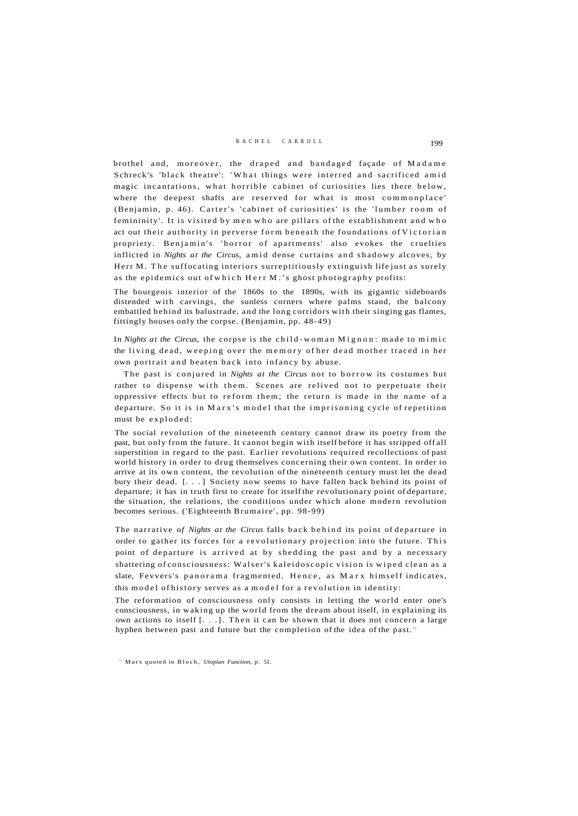#### RACHEL CARROLL 199

brothel and, moreover, the draped and bandaged façade of Madame Schreck's 'black theatre': 'What things were interred and sacrificed amid magic incantations, what horrible cabinet of curiosities lies there below, where the deepest shafts are reserved for what is most commonplace' (Benjamin, p. 46). Carter's 'cabinet of curiosities' is the 'lumber room of femininity'. It is visited by men who are pillars of the establishment and who act out their authority in perverse form beneath the foundations of Victorian propriety. Benjamin's 'horror of apartments' also evokes the cruelties inflicted in *Nights at the Circus*, amid dense curtains and shadowy alcoves, by Herr M. The suffocating interiors surreptitiously extinguish life just as surely as the epidemics out of which Herr M.'s ghost photography profits:

The bourgeois interior of the 1860s to the 1890s, with its gigantic sideboards distended with carvings, the sunless corners where palms stand, the balcony embattled behind its balustrade, and the long corridors with their singing gas flames, fittingly houses only the corpse. (Benjamin, pp. 48-49)

In *Nights at the Circus*, the corpse is the child-woman Mignon: made to mimic the living dead, weeping over the memory of her dead mother traced in her own portrait and beaten back into infancy by abuse.

The past is conjured in *Nights at the Circus* not to borrow its costumes but rather to dispense with them. Scenes are relived not to perpetuate their oppressive effects but to reform them; the return is made in the name of a departure. So it is in Marx's model that the imprisoning cycle of repetition must be exploded :

The social revolution of the nineteenth century cannot draw its poetry from the past, but only from the future. It cannot begin with itself before it has stripped off all superstition in regard to the past. Earlier revolutions required recollections of past world history in order to drug themselves concerning their own content. In order to arrive at its own content, the revolution of the nineteenth century must let the dead bury their dead. [. . . ] Society now seems to have fallen back behind its point of departure; it has in truth first to create for itself the revolutionary point of departure, the situation, the relations, the conditions under which alone modern revolution becomes serious. ('Eighteenth Brumaire', pp. 98-99)

The narrative of Nights at the Circus falls back behind its point of departure in order to gather its forces for a revolutionary projection into the future. This point of departure is arrived at by shedding the past and by a necessary shattering of consciousness: Walser's kaleidoscopic vision is wiped clean as a slate, Fevvers's panorama fragmented. Hence, as Marx himself indicates, this model of history serves as a model for a revolution in identity:

The reformation of consciousness only consists in letting the world enter one's consciousness, in waking up the world from the dream about itself, in explaining its own actions to itself [...]. Then it can be shown that it does not concern a large hyphen between past and future but the completion of the idea of the past."

<sup>&</sup>lt;sup>35</sup> Marx quoted in Bloch, *Utopian Function*, p. 51.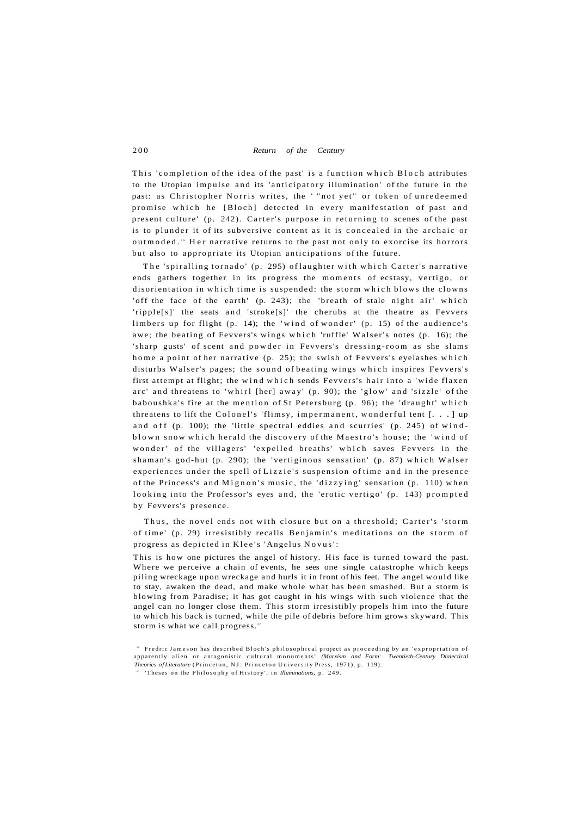This 'completion of the idea of the past' is a function which Bloch attributes to the Utopian impulse and its 'anticipatory illumination' of the future in the past: as Christopher Norris writes, the '"not yet" or token of unredeemed promise which he [Bloch] detected in every manifestation of past and present culture' (p. 242). Carter's purpose in returning to scenes of the past is to plunder it of its subversive content as it is concealed in the archaic or outmoded.<sup>36</sup> Her narrative returns to the past not only to exorcise its horrors but also to appropriate its Utopian anticipations of the future.

The 'spiralling tornado' (p. 295) of laughter with which Carter's narrative ends gathers together in its progress the moments of ecstasy, vertigo, or disorientation in which time is suspended: the storm which blows the clowns 'off the face of the earth' (p. 243); the 'breath of stale night air' which 'ripple[s]' the seats and 'stroke[s]' the cherubs at the theatre as Fevvers limbers up for flight (p. 14); the 'wind of wonder' (p. 15) of the audience's awe; the beating of Fevvers's wings which 'ruffle' Walser's notes (p. 16); the 'sharp gusts' of scent and powder in Fevvers's dressing-room as she slams home a point of her narrative (p. 25); the swish of Fevvers's eyelashes which disturbs Walser's pages; the sound of beating wings which inspires Fevvers's first attempt at flight; the wind which sends Fevvers's hair into a 'wide flaxen arc' and threatens to 'whirl [her] away' (p. 90); the 'glow' and 'sizzle' of the baboushka's fire at the mention of St Petersburg (p. 96); the 'draught' which threatens to lift the Colonel's 'flimsy, impermanent, wonderful tent [. . . ] up and off (p. 100); the 'little spectral eddies and scurries' (p. 245) of windblown snow which herald the discovery of the Maestro's house; the 'wind of wonder' of the villagers' 'expelled breaths' which saves Fevvers in the shaman's god-hut (p. 290); the 'vertiginous sensation' (p. 87) which Walser experiences under the spell of Lizzie's suspension of time and in the presence of the Princess's and Mignon's music, the 'dizzying' sensation (p. 110) when looking into the Professor's eyes and, the 'erotic vertigo' (p. 143) prompted by Fevvers's presence.

Thus, the novel ends not with closure but on a threshold; Carter's 'storm of time' (p. 29) irresistibly recalls Benjamin's meditations on the storm of progress as depicted in Klee's 'Angelus Novus':

This is how one pictures the angel of history. His face is turned toward the past. Where we perceive a chain of events, he sees one single catastrophe which keeps piling wreckage upon wreckage and hurls it in front of his feet. The angel would like to stay, awaken the dead, and make whole what has been smashed. But a storm is blowing from Paradise; it has got caught in his wings with such violence that the angel can no longer close them. This storm irresistibly propels him into the future to which his back is turned, while the pile of debris before him grows skyward. This storm is what we call progress.<sup>3</sup>

<sup>&</sup>lt;sup>36</sup> Fredric Jameson has described Bloch's philosophical project as proceeding by an 'expropriation of apparently alien or antagonistic cultural monuments' (Marxism and Form: Twentieth-Century Dialectical *Theories of Literature* (Princeton, NJ: Princeton University Press, 1971), p. 119).

<sup>&</sup>lt;sup>37</sup> 'Theses on the Philosophy of History', in *Illuminations*, p. 249.